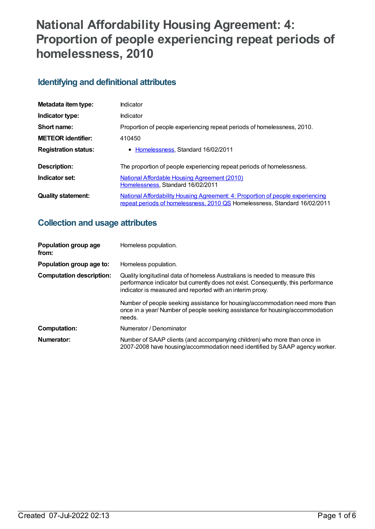# **National Affordability Housing Agreement: 4: Proportion of people experiencing repeat periods of homelessness, 2010**

## **Identifying and definitional attributes**

| Metadata item type:         | Indicator                                                                                                                                                   |
|-----------------------------|-------------------------------------------------------------------------------------------------------------------------------------------------------------|
| Indicator type:             | Indicator                                                                                                                                                   |
| Short name:                 | Proportion of people experiencing repeat periods of homelessness, 2010.                                                                                     |
| <b>METEOR identifier:</b>   | 410450                                                                                                                                                      |
| <b>Registration status:</b> | • Homelessness, Standard 16/02/2011                                                                                                                         |
| Description:                | The proportion of people experiencing repeat periods of homelessness.                                                                                       |
| Indicator set:              | National Affordable Housing Agreement (2010)<br>Homelessness, Standard 16/02/2011                                                                           |
| <b>Quality statement:</b>   | National Affordability Housing Agreement: 4: Proportion of people experiencing<br>repeat periods of homelessness, 2010 QS Homelessness, Standard 16/02/2011 |

## **Collection and usage attributes**

| Population group age<br>from:   | Homeless population.                                                                                                                                                                                                                                                                                                                                                                                     |
|---------------------------------|----------------------------------------------------------------------------------------------------------------------------------------------------------------------------------------------------------------------------------------------------------------------------------------------------------------------------------------------------------------------------------------------------------|
| Population group age to:        | Homeless population.                                                                                                                                                                                                                                                                                                                                                                                     |
| <b>Computation description:</b> | Quality longitudinal data of homeless Australians is needed to measure this<br>performance indicator but currently does not exist. Consequently, this performance<br>indicator is measured and reported with an interim proxy.<br>Number of people seeking assistance for housing/accommodation need more than<br>once in a year/Number of people seeking assistance for housing/accommodation<br>needs. |
| <b>Computation:</b>             | Numerator / Denominator                                                                                                                                                                                                                                                                                                                                                                                  |
| Numerator:                      | Number of SAAP clients (and accompanying children) who more than once in<br>2007-2008 have housing/accommodation need identified by SAAP agency worker.                                                                                                                                                                                                                                                  |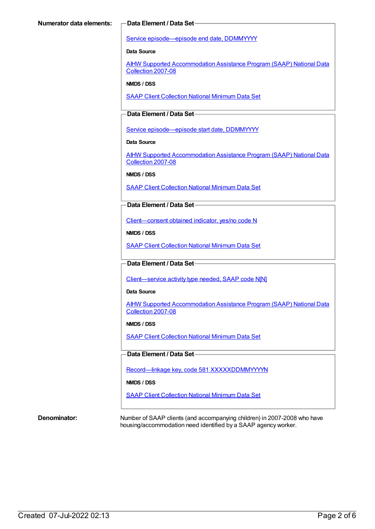Service [episode—episode](https://meteor.aihw.gov.au/content/270160) end date, DDMMYYYY

**Data Source**

AIHW Supported [Accommodation](https://meteor.aihw.gov.au/content/410013) Assistance Program (SAAP) National Data Collection 2007-08

**NMDS / DSS**

SAAP Client [Collection](https://meteor.aihw.gov.au/content/339019) National Minimum Data Set

#### **Data Element / Data Set**

Service [episode—episode](https://meteor.aihw.gov.au/content/338558) start date, DDMMYYYY

**Data Source**

AIHW Supported [Accommodation](https://meteor.aihw.gov.au/content/410013) Assistance Program (SAAP) National Data Collection 2007-08

**NMDS / DSS**

SAAP Client [Collection](https://meteor.aihw.gov.au/content/339019) National Minimum Data Set

#### **Data Element / Data Set**

[Client—consent](https://meteor.aihw.gov.au/content/338737) obtained indicator, yes/no code N

**NMDS / DSS**

SAAP Client [Collection](https://meteor.aihw.gov.au/content/339019) National Minimum Data Set

#### **Data Element / Data Set**

[Client—service](https://meteor.aihw.gov.au/content/348873) activity type needed, SAAP code N[N]

**Data Source**

AIHW Supported [Accommodation](https://meteor.aihw.gov.au/content/410013) Assistance Program (SAAP) National Data Collection 2007-08

#### **NMDS / DSS**

SAAP Client [Collection](https://meteor.aihw.gov.au/content/339019) National Minimum Data Set

#### **Data Element / Data Set**

Record—linkage key, code 581 [XXXXXDDMMYYYYN](https://meteor.aihw.gov.au/content/349895)

#### **NMDS / DSS**

SAAP Client [Collection](https://meteor.aihw.gov.au/content/339019) National Minimum Data Set

**Denominator:** Number of SAAP clients (and accompanying children) in 2007-2008 who have housing/accommodation need identified by a SAAP agency worker.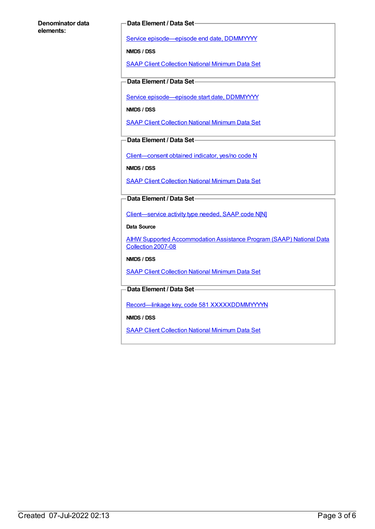#### **Denominator data elements:**

#### **Data Element / Data Set**

Service [episode—episode](https://meteor.aihw.gov.au/content/270160) end date, DDMMYYYY

**NMDS / DSS**

SAAP Client [Collection](https://meteor.aihw.gov.au/content/339019) National Minimum Data Set

#### **Data Element / Data Set**

Service [episode—episode](https://meteor.aihw.gov.au/content/338558) start date, DDMMYYYY

**NMDS / DSS**

SAAP Client [Collection](https://meteor.aihw.gov.au/content/339019) National Minimum Data Set

**Data Element / Data Set**

[Client—consent](https://meteor.aihw.gov.au/content/338737) obtained indicator, yes/no code N

**NMDS / DSS**

SAAP Client [Collection](https://meteor.aihw.gov.au/content/339019) National Minimum Data Set

**Data Element / Data Set**

[Client—service](https://meteor.aihw.gov.au/content/348873) activity type needed, SAAP code N[N]

**Data Source**

AIHW Supported [Accommodation](https://meteor.aihw.gov.au/content/410013) Assistance Program (SAAP) National Data Collection 2007-08

**NMDS / DSS**

SAAP Client [Collection](https://meteor.aihw.gov.au/content/339019) National Minimum Data Set

**Data Element / Data Set**

Record—linkage key, code 581 [XXXXXDDMMYYYYN](https://meteor.aihw.gov.au/content/349895)

**NMDS / DSS**

SAAP Client [Collection](https://meteor.aihw.gov.au/content/339019) National Minimum Data Set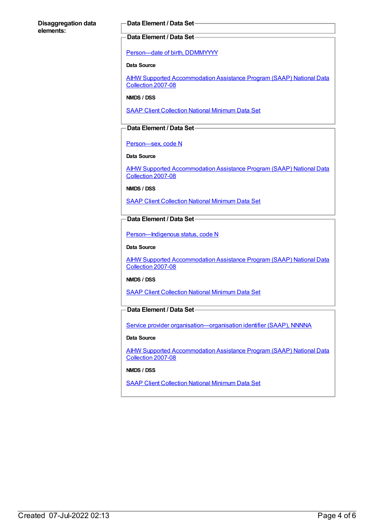#### **Disaggregation data elements:**

#### **Data Element / Data Set**

#### **Data Element / Data Set**

[Person—date](https://meteor.aihw.gov.au/content/287007) of birth, DDMMYYYY

#### **Data Source**

AIHW Supported [Accommodation](https://meteor.aihw.gov.au/content/410013) Assistance Program (SAAP) National Data Collection 2007-08

**NMDS / DSS**

SAAP Client [Collection](https://meteor.aihw.gov.au/content/339019) National Minimum Data Set

#### **Data Element / Data Set**

[Person—sex,](https://meteor.aihw.gov.au/content/287316) code N

**Data Source**

AIHW Supported [Accommodation](https://meteor.aihw.gov.au/content/410013) Assistance Program (SAAP) National Data Collection 2007-08

**NMDS / DSS**

SAAP Client [Collection](https://meteor.aihw.gov.au/content/339019) National Minimum Data Set

### **Data Element / Data Set**

[Person—Indigenous](https://meteor.aihw.gov.au/content/291036) status, code N

#### **Data Source**

AIHW Supported [Accommodation](https://meteor.aihw.gov.au/content/410013) Assistance Program (SAAP) National Data Collection 2007-08

**NMDS / DSS**

SAAP Client [Collection](https://meteor.aihw.gov.au/content/339019) National Minimum Data Set

#### **Data Element / Data Set**

Service provider organisation-organisation identifier (SAAP), NNNNA

#### **Data Source**

AIHW Supported [Accommodation](https://meteor.aihw.gov.au/content/410013) Assistance Program (SAAP) National Data Collection 2007-08

**NMDS / DSS**

SAAP Client [Collection](https://meteor.aihw.gov.au/content/339019) National Minimum Data Set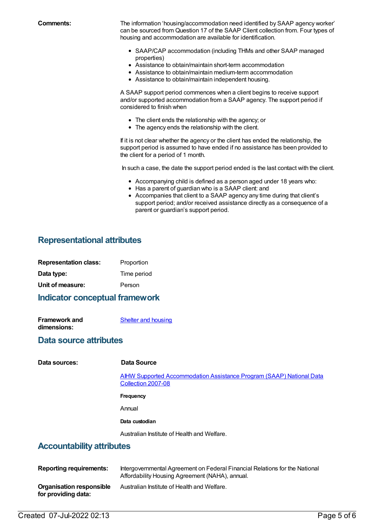**Comments:** The information 'housing/accommodation need identified by SAAP agency worker' can be sourced from Question 17 of the SAAP Client collection from. Four types of housing and accommodation are available for identification.

- SAAP/CAP accommodation (including THMs and other SAAP managed properties)
- Assistance to obtain/maintain short-term accommodation
- Assistance to obtain/maintain medium-term accommodation
- Assistance to obtain/maintain independent housing.

A SAAP support period commences when a client begins to receive support and/or supported accommodation from a SAAP agency. The support period if considered to finish when

- The client ends the relationship with the agency; or
- The agency ends the relationship with the client.

If it is not clear whether the agency or the client has ended the relationship, the support period is assumed to have ended if no assistance has been provided to the client for a period of 1 month.

In such a case, the date the support period ended is the last contact with the client.

- Accompanying child is defined as a person aged under 18 years who:
- Has a parent of guardian who is a SAAP client: and
- Accompanies that client to a SAAP agency any time during that client's support period; and/or received assistance directly as a consequence of a parent or guardian's support period.

## **Representational attributes**

| <b>Representation class:</b> | Proportion  |  |
|------------------------------|-------------|--|
| Data type:                   | Time period |  |
| Unit of measure:             | Person      |  |
|                              |             |  |

#### **Indicator conceptual framework**

| <b>Framework and</b> | <b>Shelter and housing</b> |
|----------------------|----------------------------|
| dimensions:          |                            |

### **Data source attributes**

**Data sources: Data Source**

AIHW Supported [Accommodation](https://meteor.aihw.gov.au/content/410013) Assistance Program (SAAP) National Data Collection 2007-08

**Frequency**

Annual

#### **Data custodian**

Australian Institute of Health and Welfare.

### **Accountability attributes**

| <b>Reporting requirements:</b>                  | Intergovernmental Agreement on Federal Financial Relations for the National<br>Affordability Housing Agreement (NAHA), annual. |
|-------------------------------------------------|--------------------------------------------------------------------------------------------------------------------------------|
| Organisation responsible<br>for providing data: | Australian Institute of Health and Welfare.                                                                                    |